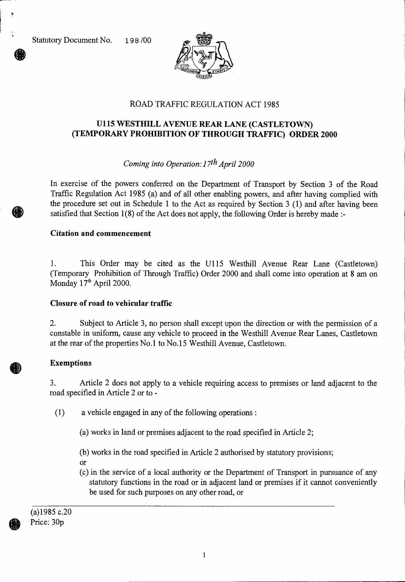Statutory Document No. 198/00



# ROAD TRAFFIC REGULATION ACT 1985

## **U115 WESTHILL AVENUE REAR LANE (CASTLETOWN) (TEMPORARY PROHIBITION OF THROUGH TRAFFIC) ORDER 2000**

### *Coming into Operation: 17th April 2000*

In exercise of the powers conferred on the Department of Transport by Section 3 of the Road Traffic Regulation Act 1985 (a) and of all other enabling powers, and after having complied with the procedure set out in Schedule 1 to the Act as required by Section 3 (1) and after having been satisfied that Section 1(8) of the Act does not apply, the following Order is hereby made :-

#### **Citation and commencement**

1. This Order may be cited as the U115 Westhill Avenue Rear Lane (Castletown) (Temporary Prohibition of Through Traffic) Order 2000 and shall come into operation at 8 am on Monday 17<sup>th</sup> April 2000.

#### **Closure of road to vehicular traffic**

2. Subject to Article 3, no person shall except upon the direction or with the permission of a constable in uniform, cause any vehicle to proceed in the Westhill Avenue Rear Lanes, Castletown at the rear of the properties No.1 to No.15 Westhill Avenue, Castletown.

#### **Exemptions**

3. Article 2 does not apply to a vehicle requiring access to premises or land adjacent to the road specified in Article 2 or to -

(1) a vehicle engaged in any of the following operations :

(a) works in land or premises adjacent to the road specified in Article 2;

(b) works in the road specified in Article 2 authorised by statutory provisions;

- or
- (c) in the service of a local authority or the Department of Transport in pursuance of any statutory functions in the road or in adjacent land or premises if it cannot conveniently be used for such purposes on any other road, or

(a)1985 c.20 Price: 30p